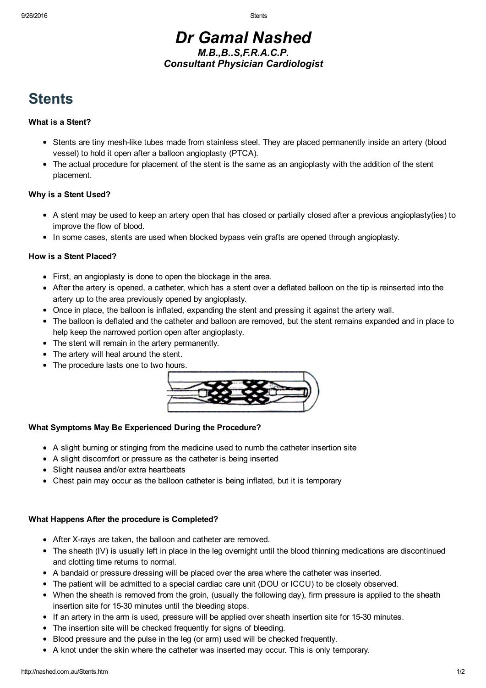## *Dr Gamal Nashed M.B.,B..S,F.R.A.C.P. Consultant Physician Cardiologist*

# **Stents**

#### What is a Stent?

- Stents are tiny mesh-like tubes made from stainless steel. They are placed permanently inside an artery (blood vessel) to hold it open after a balloon angioplasty (PTCA).
- The actual procedure for placement of the stent is the same as an angioplasty with the addition of the stent placement.

#### Why is a Stent Used?

- A stent may be used to keep an artery open that has closed or partially closed after a previous angioplasty(ies) to improve the flow of blood.
- In some cases, stents are used when blocked bypass vein grafts are opened through angioplasty.

#### How is a Stent Placed?

- First, an angioplasty is done to open the blockage in the area.
- After the artery is opened, a catheter, which has a stent over a deflated balloon on the tip is reinserted into the artery up to the area previously opened by angioplasty.
- Once in place, the balloon is inflated, expanding the stent and pressing it against the artery wall.
- The balloon is deflated and the catheter and balloon are removed, but the stent remains expanded and in place to help keep the narrowed portion open after angioplasty.
- The stent will remain in the artery permanently.
- The artery will heal around the stent.
- The procedure lasts one to two hours.



### What Symptoms May Be Experienced During the Procedure?

- A slight burning or stinging from the medicine used to numb the catheter insertion site
- A slight discomfort or pressure as the catheter is being inserted
- Slight nausea and/or extra heartbeats
- Chest pain may occur as the balloon catheter is being inflated, but it is temporary

### What Happens After the procedure is Completed?

- After X-rays are taken, the balloon and catheter are removed.
- The sheath (IV) is usually left in place in the leg overnight until the blood thinning medications are discontinued and clotting time returns to normal.
- A bandaid or pressure dressing will be placed over the area where the catheter was inserted.
- The patient will be admitted to a special cardiac care unit (DOU or ICCU) to be closely observed.
- When the sheath is removed from the groin, (usually the following day), firm pressure is applied to the sheath insertion site for 15-30 minutes until the bleeding stops.
- If an artery in the arm is used, pressure will be applied over sheath insertion site for 15-30 minutes.
- The insertion site will be checked frequently for signs of bleeding.
- Blood pressure and the pulse in the leg (or arm) used will be checked frequently.
- A knot under the skin where the catheter was inserted may occur. This is only temporary.